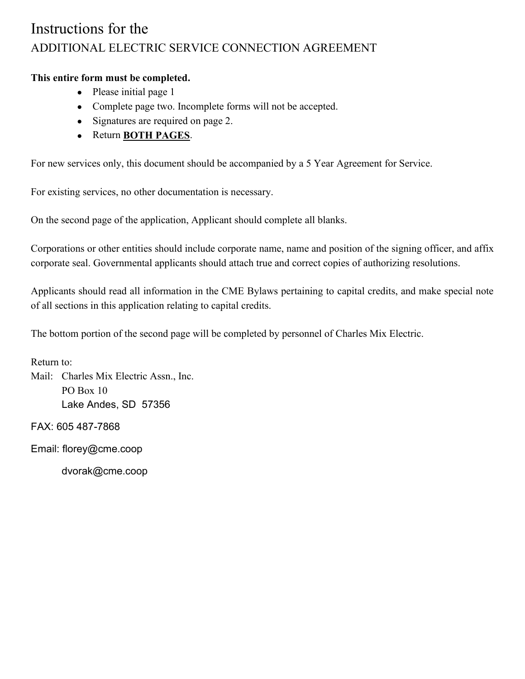## Instructions for the ADDITIONAL ELECTRIC SERVICE CONNECTION AGREEMENT

## **This entire form must be completed.**

- Please initial page 1
- Complete page two. Incomplete forms will not be accepted.
- Signatures are required on page 2.
- Return **BOTH PAGES**.

For new services only, this document should be accompanied by a 5 Year Agreement for Service.

For existing services, no other documentation is necessary.

On the second page of the application, Applicant should complete all blanks.

Corporations or other entities should include corporate name, name and position of the signing officer, and affix corporate seal. Governmental applicants should attach true and correct copies of authorizing resolutions.

Applicants should read all information in the CME Bylaws pertaining to capital credits, and make special note of all sections in this application relating to capital credits.

The bottom portion of the second page will be completed by personnel of Charles Mix Electric.

Return to: Mail: Charles Mix Electric Assn., Inc. PO Box 10 Lake Andes, SD 57356

FAX: 605 487-7868

Email: florey@cme.coop

dvorak@cme.coop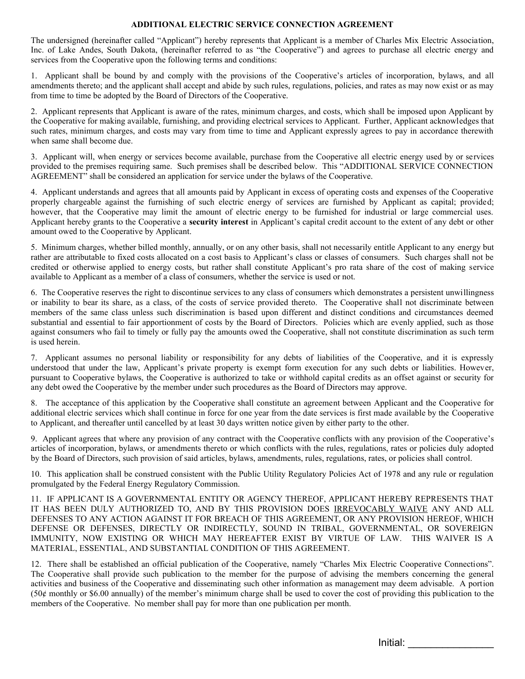## **ADDITIONAL ELECTRIC SERVICE CONNECTION AGREEMENT**

The undersigned (hereinafter called "Applicant") hereby represents that Applicant is a member of Charles Mix Electric Association, Inc. of Lake Andes, South Dakota, (hereinafter referred to as "the Cooperative") and agrees to purchase all electric energy and services from the Cooperative upon the following terms and conditions:

1. Applicant shall be bound by and comply with the provisions of the Cooperative's articles of incorporation, bylaws, and all amendments thereto; and the applicant shall accept and abide by such rules, regulations, policies, and rates as may now exist or as may from time to time be adopted by the Board of Directors of the Cooperative.

2. Applicant represents that Applicant is aware of the rates, minimum charges, and costs, which shall be imposed upon Applicant by the Cooperative for making available, furnishing, and providing electrical services to Applicant. Further, Applicant acknowledges that such rates, minimum charges, and costs may vary from time to time and Applicant expressly agrees to pay in accordance therewith when same shall become due.

3. Applicant will, when energy or services become available, purchase from the Cooperative all electric energy used by or services provided to the premises requiring same. Such premises shall be described below. This "ADDITIONAL SERVICE CONNECTION AGREEMENT" shall be considered an application for service under the bylaws of the Cooperative.

4. Applicant understands and agrees that all amounts paid by Applicant in excess of operating costs and expenses of the Cooperative properly chargeable against the furnishing of such electric energy of services are furnished by Applicant as capital; provided; however, that the Cooperative may limit the amount of electric energy to be furnished for industrial or large commercial uses. Applicant hereby grants to the Cooperative a **security interest** in Applicant's capital credit account to the extent of any debt or other amount owed to the Cooperative by Applicant.

5. Minimum charges, whether billed monthly, annually, or on any other basis, shall not necessarily entitle Applicant to any energy but rather are attributable to fixed costs allocated on a cost basis to Applicant's class or classes of consumers. Such charges shall not be credited or otherwise applied to energy costs, but rather shall constitute Applicant's pro rata share of the cost of making service available to Applicant as a member of a class of consumers, whether the service is used or not.

6. The Cooperative reserves the right to discontinue services to any class of consumers which demonstrates a persistent unwillingness or inability to bear its share, as a class, of the costs of service provided thereto. The Cooperative shall not discriminate between members of the same class unless such discrimination is based upon different and distinct conditions and circumstances deemed substantial and essential to fair apportionment of costs by the Board of Directors. Policies which are evenly applied, such as those against consumers who fail to timely or fully pay the amounts owed the Cooperative, shall not constitute discrimination as such term is used herein.

7. Applicant assumes no personal liability or responsibility for any debts of liabilities of the Cooperative, and it is expressly understood that under the law, Applicant's private property is exempt form execution for any such debts or liabilities. However, pursuant to Cooperative bylaws, the Cooperative is authorized to take or withhold capital credits as an offset against or security for any debt owed the Cooperative by the member under such procedures as the Board of Directors may approve.

8. The acceptance of this application by the Cooperative shall constitute an agreement between Applicant and the Cooperative for additional electric services which shall continue in force for one year from the date services is first made available by the Cooperative to Applicant, and thereafter until cancelled by at least 30 days written notice given by either party to the other.

9. Applicant agrees that where any provision of any contract with the Cooperative conflicts with any provision of the Cooperative's articles of incorporation, bylaws, or amendments thereto or which conflicts with the rules, regulations, rates or policies duly adopted by the Board of Directors, such provision of said articles, bylaws, amendments, rules, regulations, rates, or policies shall control.

10. This application shall be construed consistent with the Public Utility Regulatory Policies Act of 1978 and any rule or regulation promulgated by the Federal Energy Regulatory Commission.

11. IF APPLICANT IS A GOVERNMENTAL ENTITY OR AGENCY THEREOF, APPLICANT HEREBY REPRESENTS THAT IT HAS BEEN DULY AUTHORIZED TO, AND BY THIS PROVISION DOES IRREVOCABLY WAIVE ANY AND ALL DEFENSES TO ANY ACTION AGAINST IT FOR BREACH OF THIS AGREEMENT, OR ANY PROVISION HEREOF, WHICH DEFENSE OR DEFENSES, DIRECTLY OR INDIRECTLY, SOUND IN TRIBAL, GOVERNMENTAL, OR SOVEREIGN IMMUNITY, NOW EXISTING OR WHICH MAY HEREAFTER EXIST BY VIRTUE OF LAW. THIS WAIVER IS A MATERIAL, ESSENTIAL, AND SUBSTANTIAL CONDITION OF THIS AGREEMENT.

12. There shall be established an official publication of the Cooperative, namely "Charles Mix Electric Cooperative Connections". The Cooperative shall provide such publication to the member for the purpose of advising the members concerning the general activities and business of the Cooperative and disseminating such other information as management may deem advisable. A portion (50¢ monthly or \$6.00 annually) of the member's minimum charge shall be used to cover the cost of providing this publication to the members of the Cooperative. No member shall pay for more than one publication per month.

Initial: \_\_\_\_\_\_\_\_\_\_\_\_\_\_\_